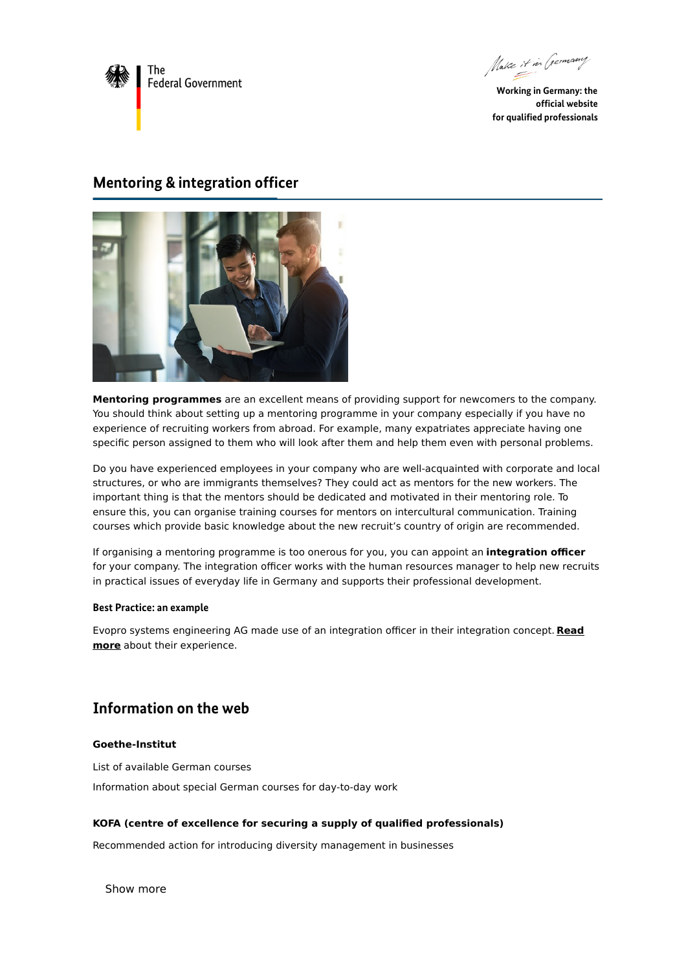

Make it in Germany

**Working in Germany: the official website for qualified professionals**

# **Mentoring & integration officer**



**Mentoring programmes** are an excellent means of providing support for newcomers to the company. You should think about setting up a mentoring programme in your company especially if you have no experience of recruiting workers from abroad. For example, many expatriates appreciate having one specific person assigned to them who will look after them and help them even with personal problems.

Do you have experienced employees in your company who are well-acquainted with corporate and local structures, or who are immigrants themselves? They could act as mentors for the new workers. The important thing is that the mentors should be dedicated and motivated in their mentoring role. To ensure this, you can organise training courses for mentors on intercultural communication. Training courses which provide basic knowledge about the new recruit's country of origin are recommended.

If organising a mentoring programme is too onerous for you, you can appoint an **integration officer** for your company. The integration officer works with the human resources manager to help new recruits in practical issues of everyday life in Germany and supports their professional development.

### **Best Practice: an example**

Evopro systems [engineering](https://www.make-it-in-germany.com/en/looking-for-foreign-professionals/finding-support/welcoming-culture-in-the-company/evopro-systems-engineering/) AG made use of an integration officer in their integration concept. **Read more** about their experience.

# **Information on the web**

### **Goethe-Institut**

List of [available](https://www.goethe.de/ins/de/en/kur.html) German courses

[Information](https://www.goethe.de/ins/de/en/kur/ang.html) about special German courses for day-to-day work

### **KOFA (centre of excellence for securing a supply of qualified professionals)**

[Recommended](https://www.kofa.de/mitarbeiter-finden-und-binden/als-arbeitgeber-positionieren/diversity-management) action for introducing diversity management in businesses

Show more